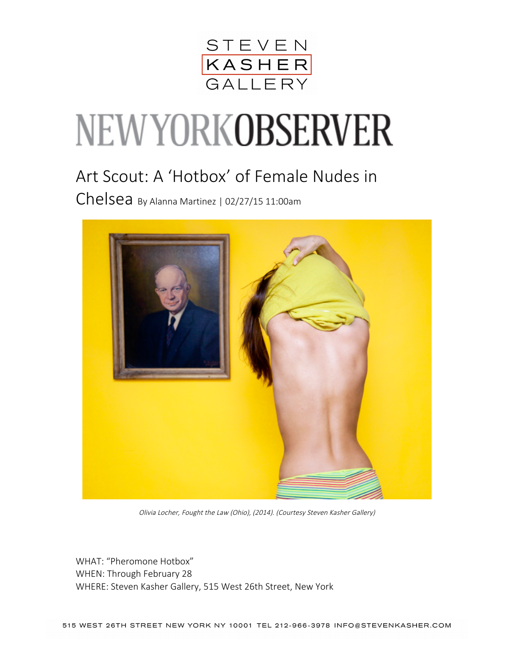

## NEWYORKOBSERVER

## Art Scout: A 'Hotbox' of Female Nudes in

Chelsea By Alanna Martinez | 02/27/15 11:00am



Olivia Locher, Fought the Law (Ohio), (2014). (Courtesy Steven Kasher Gallery)

WHAT: "Pheromone Hotbox" WHEN: Through February 28 WHERE: Steven Kasher Gallery, 515 West 26th Street, New York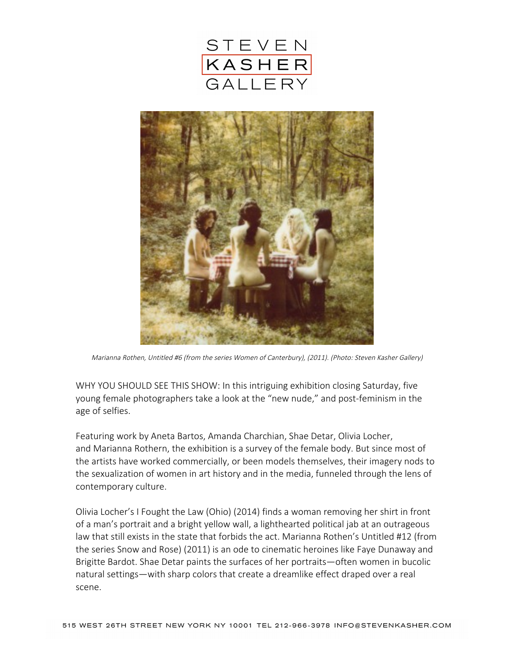



Marianna Rothen, Untitled #6 (from the series Women of Canterbury), (2011). (Photo: Steven Kasher Gallery)

WHY YOU SHOULD SEE THIS SHOW: In this intriguing exhibition closing Saturday, five young female photographers take a look at the "new nude," and post-feminism in the age of selfies.

Featuring work by Aneta Bartos, Amanda Charchian, Shae Detar, Olivia Locher, and Marianna Rothern, the exhibition is a survey of the female body. But since most of the artists have worked commercially, or been models themselves, their imagery nods to the sexualization of women in art history and in the media, funneled through the lens of contemporary culture.

Olivia Locher's I Fought the Law (Ohio) (2014) finds a woman removing her shirt in front of a man's portrait and a bright yellow wall, a lighthearted political jab at an outrageous law that still exists in the state that forbids the act. Marianna Rothen's Untitled #12 (from the series Snow and Rose) (2011) is an ode to cinematic heroines like Faye Dunaway and Brigitte Bardot. Shae Detar paints the surfaces of her portraits—often women in bucolic natural settings—with sharp colors that create a dreamlike effect draped over a real scene.